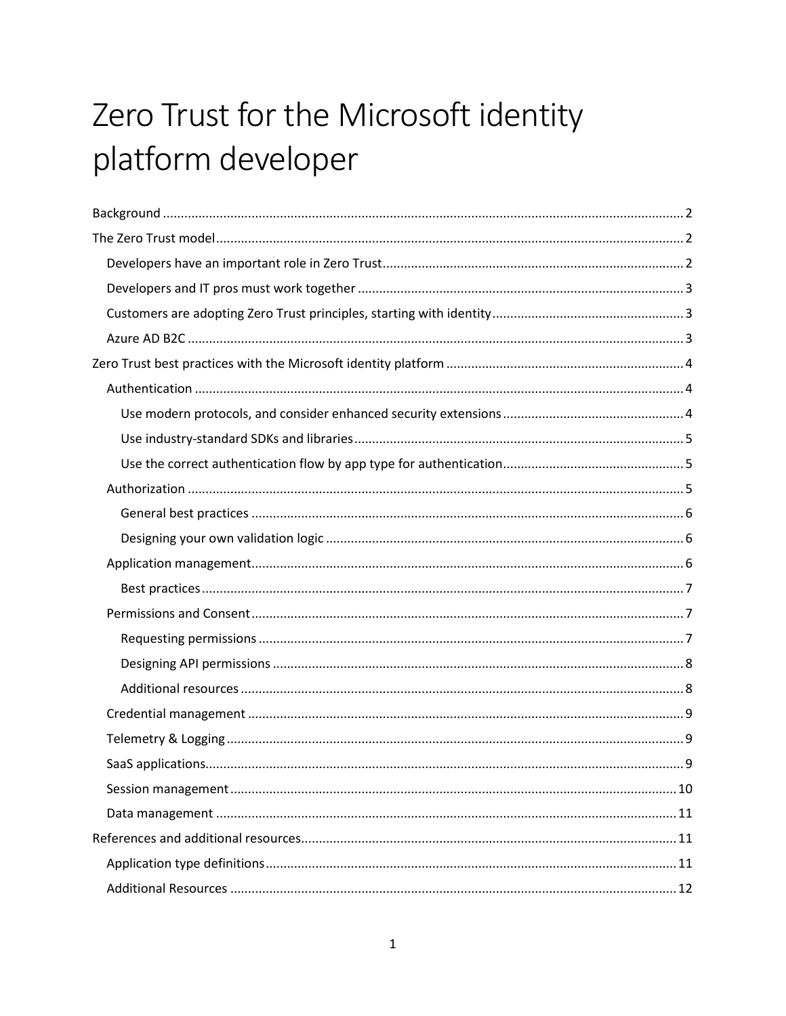# Zero Trust for the Microsoft identity platform developer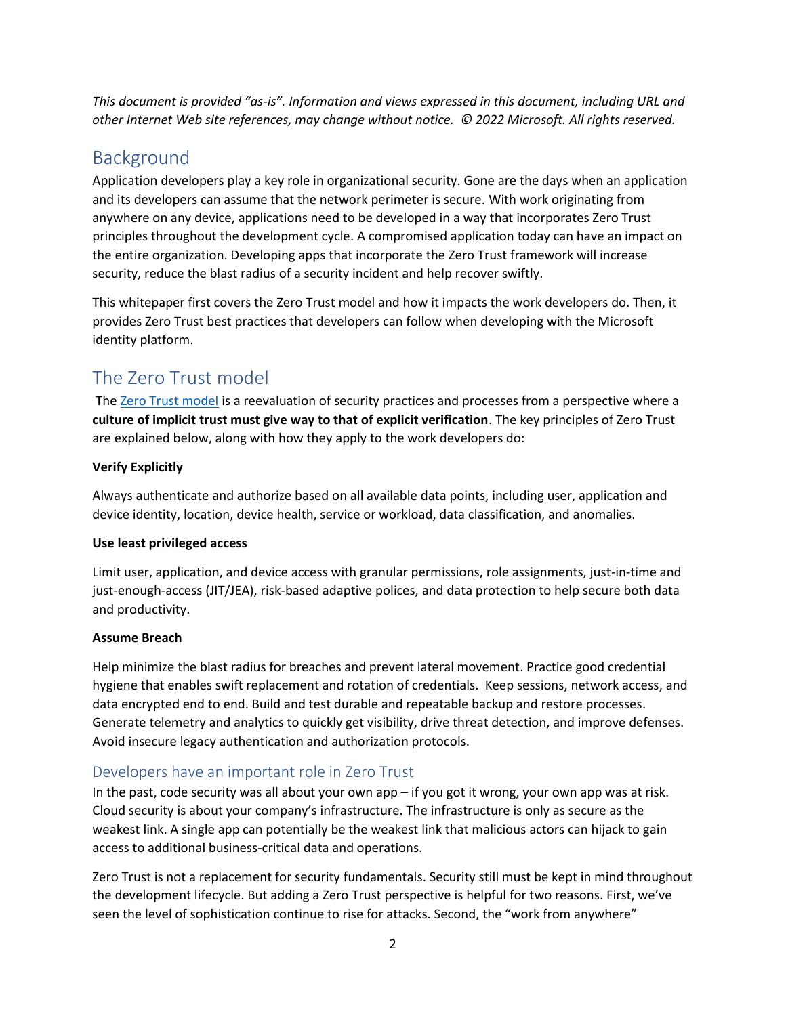*This document is provided "as-is". Information and views expressed in this document, including URL and other Internet Web site references, may change without notice. © 2022 Microsoft. All rights reserved.*

# <span id="page-1-0"></span>Background

Application developers play a key role in organizational security. Gone are the days when an application and its developers can assume that the network perimeter is secure. With work originating from anywhere on any device, applications need to be developed in a way that incorporates Zero Trust principles throughout the development cycle. A compromised application today can have an impact on the entire organization. Developing apps that incorporate the Zero Trust framework will increase security, reduce the blast radius of a security incident and help recover swiftly.

This whitepaper first covers the Zero Trust model and how it impacts the work developers do. Then, it provides Zero Trust best practices that developers can follow when developing with the Microsoft identity platform.

# <span id="page-1-1"></span>The Zero Trust model

The [Zero Trust model](https://www.microsoft.com/security/business/zero-trust) is a reevaluation of security practices and processes from a perspective where a **culture of implicit trust must give way to that of explicit verification**. The key principles of Zero Trust are explained below, along with how they apply to the work developers do:

#### **Verify Explicitly**

Always authenticate and authorize based on all available data points, including user, application and device identity, location, device health, service or workload, data classification, and anomalies.

#### **Use least privileged access**

Limit user, application, and device access with granular permissions, role assignments, just-in-time and just-enough-access (JIT/JEA), risk-based adaptive polices, and data protection to help secure both data and productivity.

#### **Assume Breach**

Help minimize the blast radius for breaches and prevent lateral movement. Practice good credential hygiene that enables swift replacement and rotation of credentials. Keep sessions, network access, and data encrypted end to end. Build and test durable and repeatable backup and restore processes. Generate telemetry and analytics to quickly get visibility, drive threat detection, and improve defenses. Avoid insecure legacy authentication and authorization protocols.

# <span id="page-1-2"></span>Developers have an important role in Zero Trust

In the past, code security was all about your own app – if you got it wrong, your own app was at risk. Cloud security is about your company's infrastructure. The infrastructure is only as secure as the weakest link. A single app can potentially be the weakest link that malicious actors can hijack to gain access to additional business-critical data and operations.

Zero Trust is not a replacement for security fundamentals. Security still must be kept in mind throughout the development lifecycle. But adding a Zero Trust perspective is helpful for two reasons. First, we've seen the level of sophistication continue to rise for attacks. Second, the "work from anywhere"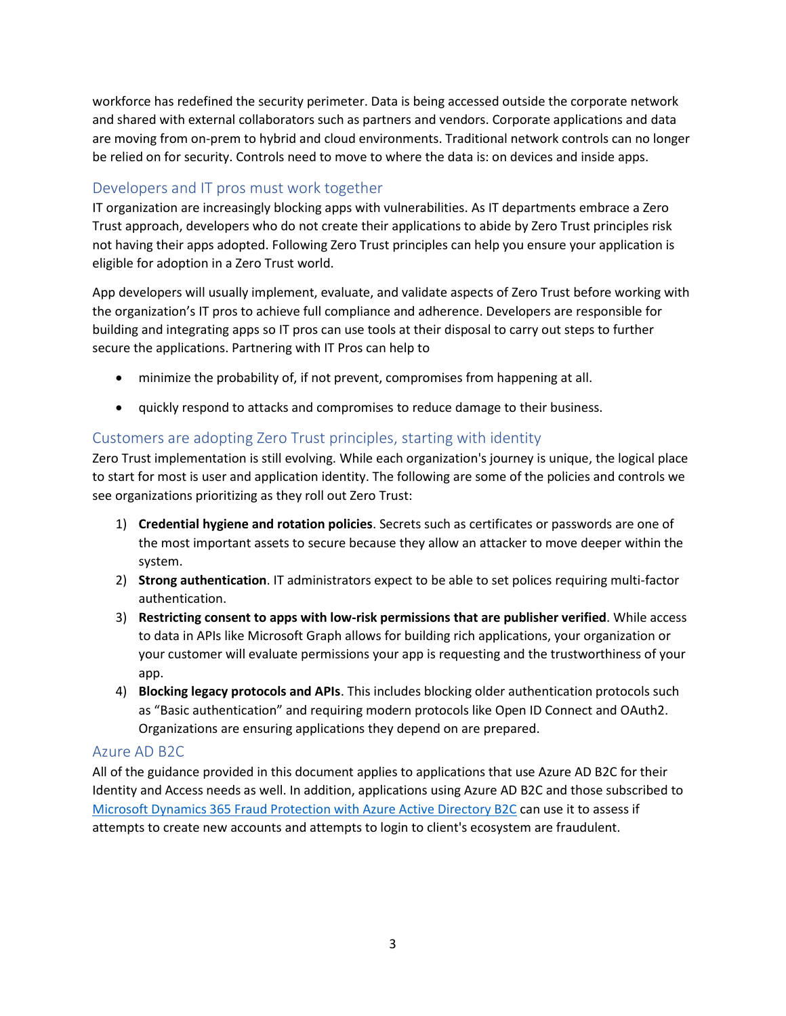workforce has redefined the security perimeter. Data is being accessed outside the corporate network and shared with external collaborators such as partners and vendors. Corporate applications and data are moving from on-prem to hybrid and cloud environments. Traditional network controls can no longer be relied on for security. Controls need to move to where the data is: on devices and inside apps.

# <span id="page-2-0"></span>Developers and IT pros must work together

IT organization are increasingly blocking apps with vulnerabilities. As IT departments embrace a Zero Trust approach, developers who do not create their applications to abide by Zero Trust principles risk not having their apps adopted. Following Zero Trust principles can help you ensure your application is eligible for adoption in a Zero Trust world.

App developers will usually implement, evaluate, and validate aspects of Zero Trust before working with the organization's IT pros to achieve full compliance and adherence. Developers are responsible for building and integrating apps so IT pros can use tools at their disposal to carry out steps to further secure the applications. Partnering with IT Pros can help to

- minimize the probability of, if not prevent, compromises from happening at all.
- quickly respond to attacks and compromises to reduce damage to their business.

# <span id="page-2-1"></span>Customers are adopting Zero Trust principles, starting with identity

Zero Trust implementation is still evolving. While each organization's journey is unique, the logical place to start for most is user and application identity. The following are some of the policies and controls we see organizations prioritizing as they roll out Zero Trust:

- 1) **Credential hygiene and rotation policies**. Secrets such as certificates or passwords are one of the most important assets to secure because they allow an attacker to move deeper within the system.
- 2) **Strong authentication**. IT administrators expect to be able to set polices requiring multi-factor authentication.
- 3) **Restricting consent to apps with low-risk permissions that are publisher verified**. While access to data in APIs like Microsoft Graph allows for building rich applications, your organization or your customer will evaluate permissions your app is requesting and the trustworthiness of your app.
- 4) **Blocking legacy protocols and APIs**. This includes blocking older authentication protocols such as "Basic authentication" and requiring modern protocols like Open ID Connect and OAuth2. Organizations are ensuring applications they depend on are prepared.

## <span id="page-2-2"></span>Azure AD B2C

All of the guidance provided in this document applies to applications that use Azure AD B2C for their Identity and Access needs as well. In addition, applications using Azure AD B2C and those subscribed to [Microsoft Dynamics 365 Fraud Protection with Azure Active Directory B2C](https://docs.microsoft.com/en-us/azure/active-directory-b2c/partner-dynamics-365-fraud-protection) can use it to assess if attempts to create new accounts and attempts to login to client's ecosystem are fraudulent.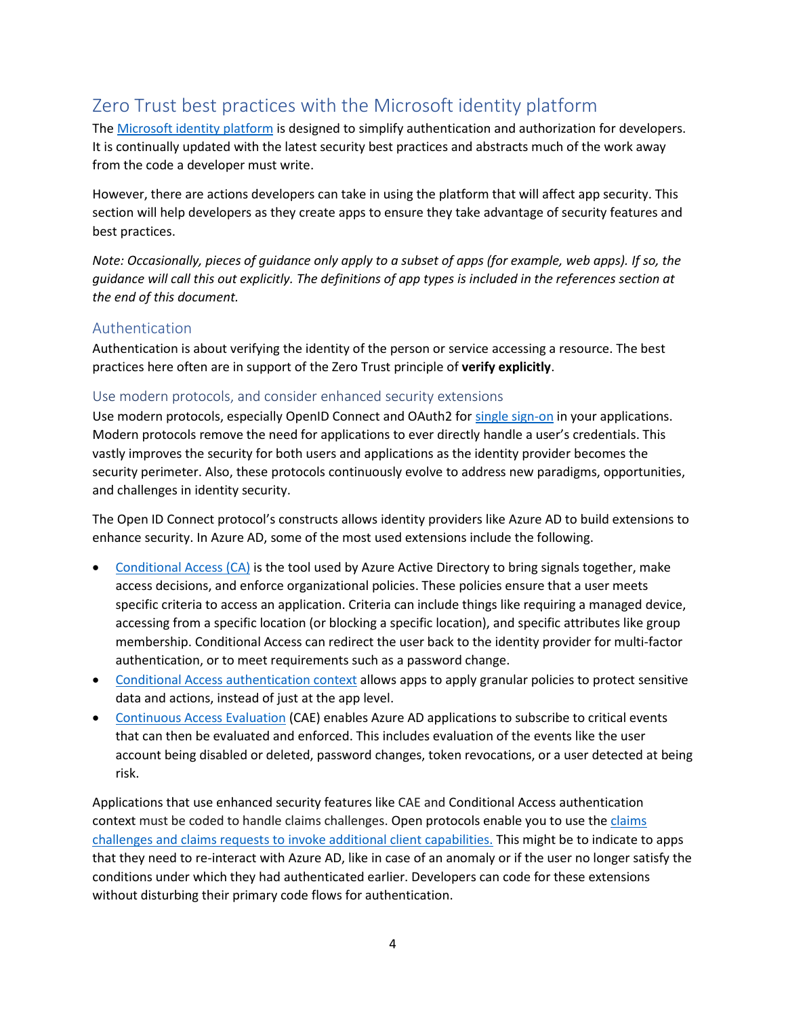# <span id="page-3-0"></span>Zero Trust best practices with the Microsoft identity platform

The [Microsoft identity platform](https://docs.microsoft.com/azure/active-directory/develop/v2-overview) is designed to simplify authentication and authorization for developers. It is continually updated with the latest security best practices and abstracts much of the work away from the code a developer must write.

However, there are actions developers can take in using the platform that will affect app security. This section will help developers as they create apps to ensure they take advantage of security features and best practices.

*Note: Occasionally, pieces of guidance only apply to a subset of apps (for example, web apps). If so, the guidance will call this out explicitly. The definitions of app types is included in the references section at the end of this document.* 

#### <span id="page-3-1"></span>Authentication

Authentication is about verifying the identity of the person or service accessing a resource. The best practices here often are in support of the Zero Trust principle of **verify explicitly**.

#### <span id="page-3-2"></span>Use modern protocols, and consider enhanced security extensions

Use modern protocols, especially OpenID Connect and OAuth2 for [single sign-on](https://docs.microsoft.com/en-us/azure/active-directory/manage-apps/what-is-single-sign-on) in your applications. Modern protocols remove the need for applications to ever directly handle a user's credentials. This vastly improves the security for both users and applications as the identity provider becomes the security perimeter. Also, these protocols continuously evolve to address new paradigms, opportunities, and challenges in identity security.

The Open ID Connect protocol's constructs allows identity providers like Azure AD to build extensions to enhance security. In Azure AD, some of the most used extensions include the following.

- [Conditional Access \(CA\)](https://docs.microsoft.com/en-us/azure/active-directory/conditional-access/overview) is the tool used by Azure Active Directory to bring signals together, make access decisions, and enforce organizational policies. These policies ensure that a user meets specific criteria to access an application. Criteria can include things like requiring a managed device, accessing from a specific location (or blocking a specific location), and specific attributes like group membership. Conditional Access can redirect the user back to the identity provider for multi-factor authentication, or to meet requirements such as a password change.
- [Conditional Access authentication context](https://docs.microsoft.com/en-us/azure/active-directory/develop/developer-guide-conditional-access-authentication-context) allows apps to apply granular policies to protect sensitive data and actions, instead of just at the app level.
- [Continuous Access Evaluation](https://docs.microsoft.com/en-us/azure/active-directory/conditional-access/concept-continuous-access-evaluation) (CAE) enables Azure AD applications to subscribe to critical events that can then be evaluated and enforced. This includes evaluation of the events like the user account being disabled or deleted, password changes, token revocations, or a user detected at being risk.

Applications that use enhanced security features like CAE and Conditional Access authentication context must be coded to handl[e claims](https://docs.microsoft.com/en-us/azure/active-directory/develop/claims-challenge) challenges. Open protocols enable you to use the claims challenges and claims requests to [invoke additional client capabilities.](https://docs.microsoft.com/en-us/azure/active-directory/develop/claims-challenge) This might be to indicate to apps that they need to re-interact with Azure AD, like in case of an anomaly or if the user no longer satisfy the conditions under which they had authenticated earlier. Developers can code for these extensions without disturbing their primary code flows for authentication.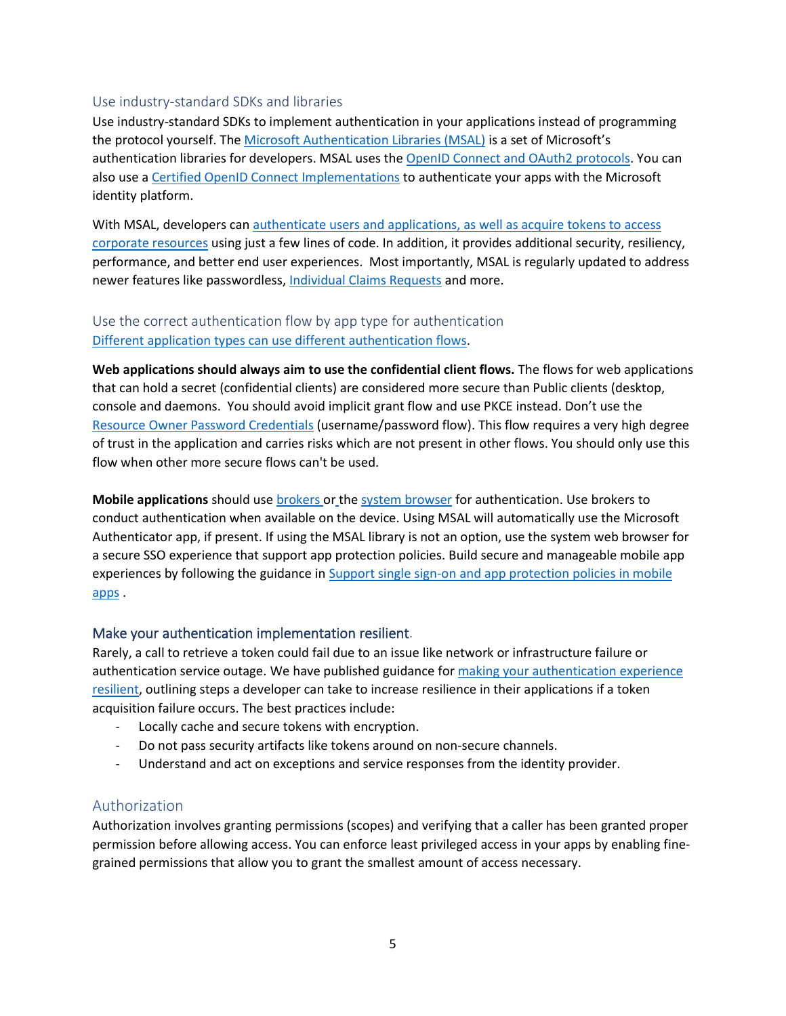#### <span id="page-4-0"></span>Use industry-standard SDKs and libraries

Use industry-standard SDKs to implement authentication in your applications instead of programming the protocol yourself. The [Microsoft Authentication Libraries \(MSAL\)](https://docs.microsoft.com/en-us/azure/active-directory/develop/reference-v2-libraries) is a set of Microsoft's authentication libraries for developers. MSAL uses th[e OpenID Connect and OAuth2 protocols.](https://docs.microsoft.com/en-us/azure/active-directory/develop/active-directory-v2-protocols) You can also use a [Certified OpenID Connect Implementations](https://openid.net/developers/certified/) to authenticate your apps with the Microsoft identity platform.

With MSAL, developers can authenticate users and applications, as well as acquire tokens to access [corporate resources](https://docs.microsoft.com/en-us/azure/active-directory/develop/about-microsoft-identity-platform) using just a few lines of code. In addition, it provides additional security, resiliency, performance, and better end user experiences. Most importantly, MSAL is regularly updated to address newer features like passwordless, [Individual Claims Requests](https://docs.microsoft.com/en-us/azure/active-directory/develop/claims-challenge) and more.

# <span id="page-4-1"></span>Use the correct authentication flow by app type for authentication [Different application types can use different authentication flows.](https://docs.microsoft.com/en-us/azure/active-directory/develop/v2-app-types)

**Web applications should always aim to use the confidential client flows.** The flows for web applications that can hold a secret [\(confidential clients\)](https://docs.microsoft.com/en-us/azure/active-directory/develop/msal-client-applications) are considered more secure than [Public clients](https://docs.microsoft.com/en-us/azure/active-directory/develop/msal-client-applications) (desktop, console and daemons. You should avoid [implicit grant flow](https://docs.microsoft.com/en-us/azure/active-directory/develop/v2-oauth2-implicit-grant-flow) and use [PKCE](https://docs.microsoft.com/en-us/azure/active-directory/develop/tutorial-v2-javascript-auth-code) instead. Don't use the [Resource Owner Password Credentials](https://docs.microsoft.com/en-us/azure/active-directory/develop/v2-oauth-ropc) (username/password flow). This flow requires a very high degree of trust in the application and carries risks which are not present in other flows. You should only use this flow when other more secure flows can't be used.

**Mobile applications** should use [brokers](https://developer.microsoft.com/en-us/identity/blogs/microsoft-authentication-libraries-for-android-ios-and-macos-are-now-generally-available/) or th[e system browser](https://docs.microsoft.com/en-us/azure/active-directory/develop/mobile-sso-support-overview) for authentication. Us[e brokers](https://developer.microsoft.com/en-us/identity/blogs/microsoft-authentication-libraries-for-android-ios-and-macos-are-now-generally-available/) to conduct authentication when available on the device. Using MSAL will automatically use the [Microsoft](https://www.microsoft.com/en-us/account/authenticator)  [Authenticator](https://www.microsoft.com/en-us/account/authenticator) app, if present. If using the MSAL library is not an option, use th[e system web browser](https://docs.microsoft.com/en-us/azure/active-directory/develop/mobile-sso-support-overview#use-the-system-web-browser) for a secure SSO experience that support app protection policies. Build secure and manageable mobile app experiences by following the guidance in [Support single sign-on and app protection](https://docs.microsoft.com/en-us/azure/active-directory/develop/mobile-sso-support-overview) policies in mobile [apps](https://docs.microsoft.com/en-us/azure/active-directory/develop/mobile-sso-support-overview) .

#### Make your authentication implementation resilient.

Rarely, a call to retrieve a token could fail due to an issue like network or infrastructure failure or authentication service outage. We have published guidance fo[r making your authentication experience](https://docs.microsoft.com/en-us/azure/active-directory/fundamentals/resilience-app-development-overview)  [resilient,](https://docs.microsoft.com/en-us/azure/active-directory/fundamentals/resilience-app-development-overview) outlining steps a developer can take to increase resilience in their applications if a token acquisition failure occurs. The best practices include:

- Locally cache and secure tokens with encryption.
- Do not pass security artifacts like tokens around on non-secure channels.
- Understand and act on exceptions and service responses from the identity provider.

#### <span id="page-4-2"></span>Authorization

Authorization involves granting permissions (scopes) and verifying that a caller has been granted proper permission before allowing access. You can enforce least privileged access in your apps by enabling finegrained permissions that allow you to grant the smallest amount of access necessary.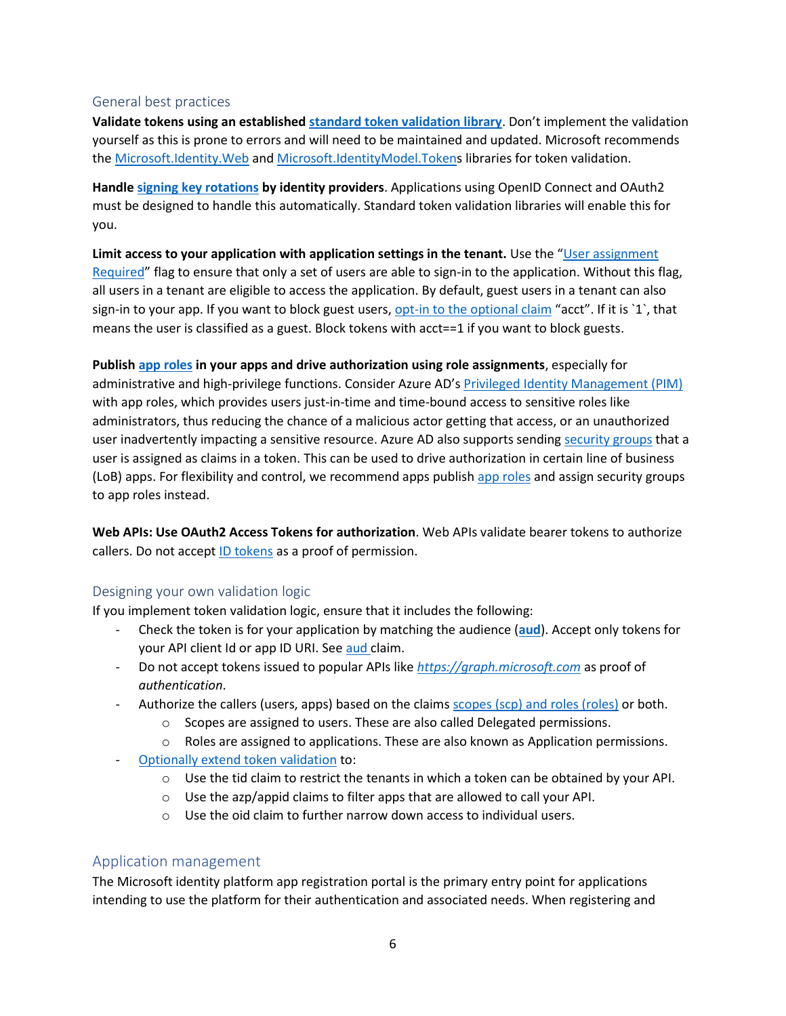#### <span id="page-5-0"></span>General best practices

**Validate tokens using an established [standard token validation](https://github.com/AzureAD/azure-activedirectory-identitymodel-extensions-for-dotnet/wiki/ValidatingTokens) library**. Don't implement the validation yourself as this is prone to errors and will need to be maintained and updated. Microsoft recommends th[e Microsoft.Identity.Web](https://docs.microsoft.com/en-us/azure/active-directory/develop/microsoft-identity-web) and [Microsoft.IdentityModel.Tokens](https://github.com/AzureAD/azure-activedirectory-identitymodel-extensions-for-dotnet/wiki/ValidatingTokens) libraries for token validation.

**Handle [signing key rotations](In%20addition,%20they%20help%20implement%20best%20practices%20like%20signing%20key%20rotations.) by identity providers**. Applications using OpenID Connect and OAuth2 must be designed to handle this automatically. Standard token validation libraries will enable this for you.

**Limit access to your application with application settings in the tenant.** Use the "[User assignment](https://docs.microsoft.com/en-us/azure/active-directory/manage-apps/assign-user-or-group-access-portal)  [Required](https://docs.microsoft.com/en-us/azure/active-directory/manage-apps/assign-user-or-group-access-portal)" flag to ensure that only a set of users are able to sign-in to the application. Without this flag, all users in a tenant are eligible to access the application. By default, guest users in a tenant can also sign-in to your app. If you want to block guest users[, opt-in to the optional claim](https://docs.microsoft.com/en-us/azure/active-directory/develop/active-directory-optional-claims#configuring-optional-claims) "acct". If it is `1`, that means the user is classified as a guest. Block tokens with acct==1 if you want to block guests.

**Publish [app roles](https://docs.microsoft.com/en-us/azure/active-directory/develop/howto-add-app-roles-in-azure-ad-apps) in your apps and drive authorization using role assignments**, especially for administrative and high-privilege functions. Consider Azure AD's [Privileged Identity Management \(PIM\)](https://docs.microsoft.com/en-us/azure/active-directory/privileged-identity-management/groups-features)  with app roles, which provides users just-in-time and time-bound access to sensitive roles like administrators, thus reducing the chance of a malicious actor getting that access, or an unauthorized user inadvertently impacting a sensitive resource. Azure AD also supports sending [security groups](https://docs.microsoft.com/en-us/azure/active-directory/hybrid/how-to-connect-fed-group-claims) that a user is assigned as claims in a token. This can be used to drive authorization in certain line of business (LoB) apps. For flexibility and control, we recommend apps publish [app roles](https://docs.microsoft.com/en-us/azure/active-directory/develop/howto-add-app-roles-in-azure-ad-apps) and assign security groups to app roles instead.

**Web APIs: Use [OAuth2 Access Tokens](https://docs.microsoft.com/en-us/azure/active-directory/develop/scenario-protected-web-api-overview) for authorization**. Web APIs [validate bearer tokens](https://docs.microsoft.com/en-us/azure/active-directory/develop/access-tokens#validating-tokens) to [authorize](https://docs.microsoft.com/en-us/azure/active-directory/develop/access-tokens#claims-based-authorization) callers. Do not accep[t ID tokens](https://aka.ms/id-tokens) as a proof of permission.

#### <span id="page-5-1"></span>Designing your own validation logic

If you implement token validation logic, ensure that it includes the following:

- Check the token is for your application by matching the audience (**[aud](https://docs.microsoft.com/en-us/azure/active-directory/develop/access-tokens#payload-claims)**). Accept only tokens for your API client Id or app ID URI. Se[e aud](https://docs.microsoft.com/en-us/azure/active-directory/develop/access-tokens) claim.
- Do not accept tokens issued to popular APIs like *[https://graph.microsoft.com](https://graph.microsoft.com/)* as proof of *authentication*.
- Authorize the callers (users, apps) based on the claims [scopes \(scp\) and roles \(roles\)](https://docs.microsoft.com/en-us/azure/active-directory/develop/scenario-protected-web-api-verification-scope-app-roles) or both.
	- $\circ$  Scopes are assigned to users. These are also calle[d Delegated permissions.](https://docs.microsoft.com/en-us/graph/auth/auth-concepts#delegated-and-application-permissions)
	- $\circ$  Roles are assigned to applications. These are also known as [Application permissions.](https://docs.microsoft.com/en-us/graph/auth/auth-concepts#delegated-and-application-permissions)
- [Optionally extend token validation](https://github.com/Azure-Samples/active-directory-dotnet-webapi-manual-jwt-validation/blob/master/README.md) to:
	- $\circ$  Use th[e tid](https://docs.microsoft.com/en-us/azure/active-directory/develop/access-tokens#payload-claims) claim to restrict the [tenants](https://github.com/Azure-Samples/active-directory-aspnetcore-webapp-openidconnect-v2/blob/master/2-WebApp-graph-user/2-3-Multi-Tenant/README.md) in which a token can be obtained by your API.
	- o Use th[e azp/appid](https://docs.microsoft.com/en-us/azure/active-directory/develop/access-tokens#payload-claims) claims to filter apps that are allowed to call your API.
	- $\circ$  Use th[e oid](https://docs.microsoft.com/en-us/azure/active-directory/develop/access-tokens) claim to further narrow down access to individual users.

#### <span id="page-5-2"></span>Application management

The Microsoft identity platform app registration portal is the primary entry point for applications intending to use the platform for their authentication and associated needs. When registering and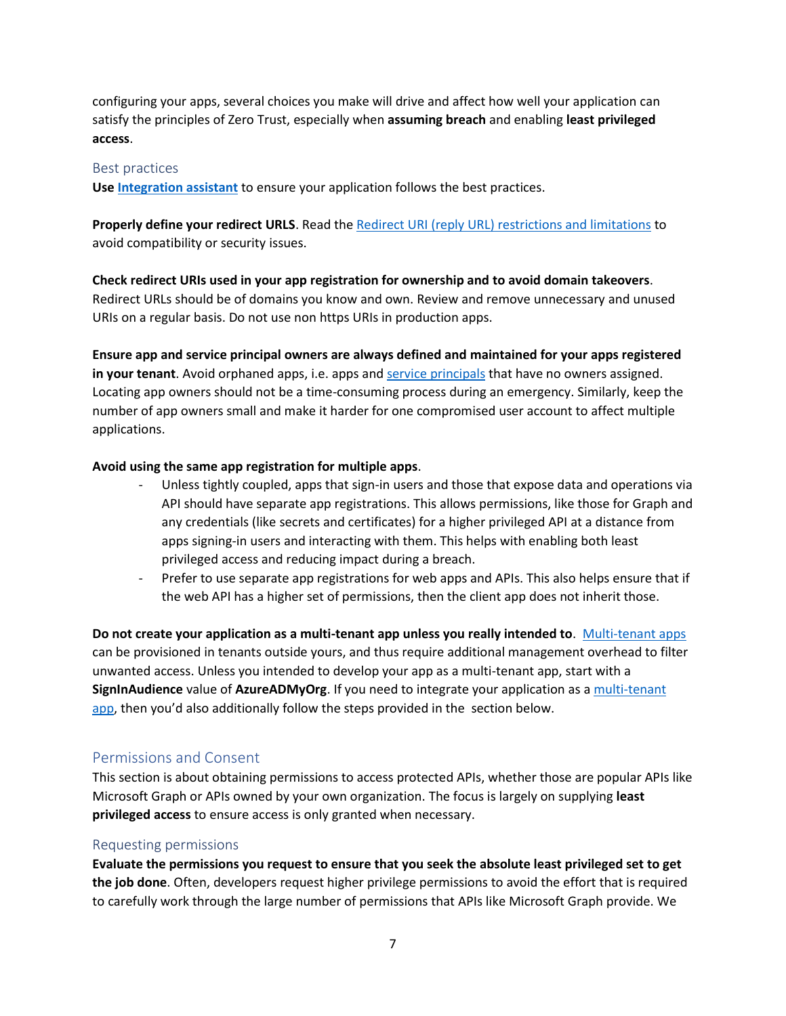configuring your apps, several choices you make will drive and affect how well your application can satisfy the principles of Zero Trust, especially when **assuming breach** and enabling **least privileged access**.

#### <span id="page-6-0"></span>Best practices

**Us[e Integration assistant](https://docs.microsoft.com/en-us/azure/active-directory/develop/identity-platform-integration-checklist)** to ensure your application follows the best practices.

**Properly define your redirect URLS**. Read th[e Redirect URI \(reply URL\) restrictions and limitations](https://docs.microsoft.com/en-us/azure/active-directory/develop/reply-url) to avoid compatibility or security issues.

**Check redirect URIs used in your app registration for ownership and to avoid domain takeovers**. Redirect URLs should be of domains you know and own. Review and remove unnecessary and unused URIs on a regular basis. Do not use non https URIs in production apps.

**Ensure app and service principal owners are always defined and maintained for your apps registered in your tenant**. Avoid orphaned apps, i.e. apps an[d service principals](https://docs.microsoft.com/en-us/azure/active-directory/develop/app-objects-and-service-principals) that have no owners assigned. Locating app owners should not be a time-consuming process during an emergency. Similarly, keep the number of app owners small and make it harder for one compromised user account to affect multiple applications.

#### **Avoid using the same app registration for multiple apps**.

- Unless tightly coupled, apps that sign-in users and those that expose data and operations via API should have separate app registrations. This allows permissions, like those for Graph and any credentials (like secrets and certificates) for a higher privileged API at a distance from apps signing-in users and interacting with them. This helps with enabling both least privileged access and reducing impact during a breach.
- Prefer to use separate app registrations for web apps and APIs. This also helps ensure that if the web API has a higher set of permissions, then the client app does not inherit those.

**Do not create your application as a multi-tenant app unless you really intended to**. [Multi-tenant apps](https://docs.microsoft.com/en-us/azure/active-directory/develop/howto-convert-app-to-be-multi-tenant) can be provisioned in tenants outside yours, and thus require additional management overhead to filter unwanted access. Unless you intended to develop your app as a multi-tenant app, start with a **SignInAudience** value of **AzureADMyOrg**. If you need to integrate your application as [a multi-tenant](https://docs.microsoft.com/en-us/azure/active-directory/develop/howto-convert-app-to-be-multi-tenant)  [app](https://docs.microsoft.com/en-us/azure/active-directory/develop/howto-convert-app-to-be-multi-tenant), then you'd also additionally follow the steps provided in the section below.

#### <span id="page-6-1"></span>Permissions and Consent

This section is about obtaining permissions to access protected APIs, whether those are popular APIs like Microsoft Graph or APIs owned by your own organization. The focus is largely on supplying **least privileged access** to ensure access is only granted when necessary.

#### <span id="page-6-2"></span>Requesting permissions

**Evaluate the permissions you request to ensure that you seek the absolute least privileged set to get the job done**. Often, developers request higher privilege permissions to avoid the effort that is required to carefully work through the large number of permissions that APIs like Microsoft Graph provide. We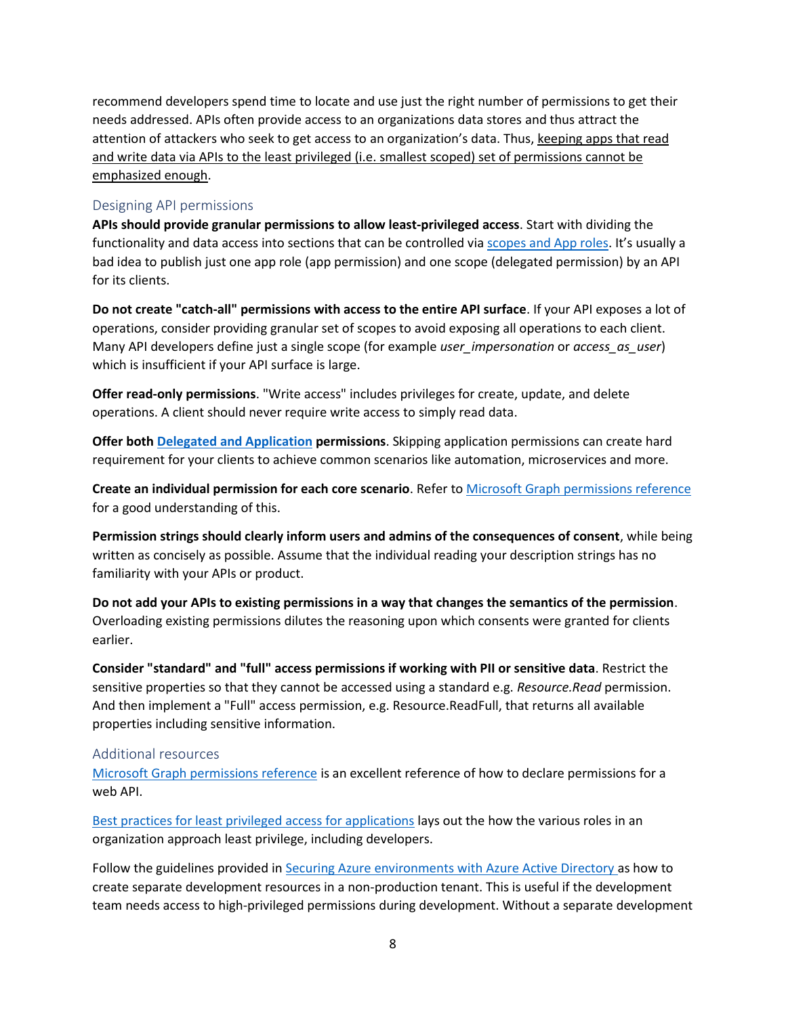recommend developers spend time to locate and use just the right number of permissions to get their needs addressed. APIs often provide access to an organizations data stores and thus attract the attention of attackers who seek to get access to an organization's data. Thus, keeping apps that read and write data via APIs to the least privileged (i.e. smallest scoped) set of permissions cannot be emphasized enough.

#### <span id="page-7-0"></span>Designing API permissions

**APIs should provide granular permissions to allow least-privileged access**. Start with dividing the functionality and data access into sections that can be controlled vi[a scopes and App roles](https://docs.microsoft.com/en-us/azure/active-directory/develop/v2-permissions-and-consent). It's usually a bad idea to publish just one app role (app permission) and one scope (delegated permission) by an API for its clients.

**Do not create "catch-all" permissions with access to the entire API surface**. If your API exposes a lot of operations, consider providing granular set of scopes to avoid exposing all operations to each client. Many API developers define just a single scope (for example *user\_impersonation* or *access\_as\_user*) which is insufficient if your API surface is large.

**Offer read-only permissions**. "Write access" includes privileges for create, update, and delete operations. A client should never require write access to simply read data.

**Offer both [Delegated and Application](https://docs.microsoft.com/en-us/graph/auth/auth-concepts#delegated-and-application-permissions) permissions**. Skipping application permissions can create hard requirement for your clients to achieve common scenarios like automation, microservices and more.

**Create an individual permission for each core scenario**. Refer to [Microsoft Graph permissions reference](https://docs.microsoft.com/en-us/graph/permissions-reference) for a good understanding of this.

**Permission strings should clearly inform users and admins of the consequences of consent**, while being written as concisely as possible. Assume that the individual reading your description strings has no familiarity with your APIs or product.

**Do not add your APIs to existing permissions in a way that changes the semantics of the permission**. Overloading existing permissions dilutes the reasoning upon which consents were granted for clients earlier.

**Consider "standard" and "full" access permissions if working with PII or sensitive data**. Restrict the sensitive properties so that they cannot be accessed using a standard e.g. *Resource.Read* permission. And then implement a "Full" access permission, e.g. Resource.ReadFull, that returns all available properties including sensitive information.

#### <span id="page-7-1"></span>Additional resources

[Microsoft Graph permissions reference](https://docs.microsoft.com/en-us/graph/permissions-reference) is an excellent reference of how to declare permissions for a web API.

[Best practices for least privileged access for applications](https://docs.microsoft.com/en-us/azure/active-directory/develop/secure-least-privileged-access) lays out the how the various roles in an organization approach least privilege, including developers.

Follow the guidelines provided i[n Securing Azure environments with Azure Active Directory a](https://azure.microsoft.com/en-us/resources/securing-azure-environments-with-azure-active-directory/)s how to create separate development resources in a non-production tenant. This is useful if the development team needs access to high-privileged permissions during development. Without a separate development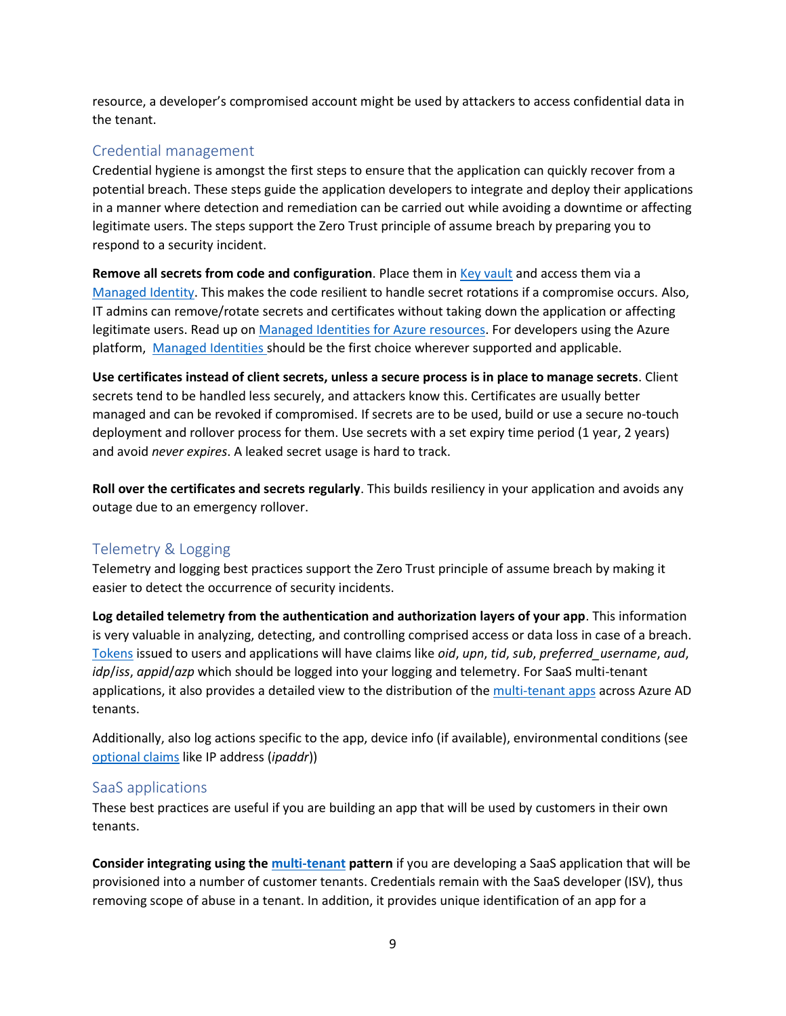resource, a developer's compromised account might be used by attackers to access confidential data in the tenant.

# <span id="page-8-0"></span>Credential management

Credential hygiene is amongst the first steps to ensure that the application can quickly recover from a potential breach. These steps guide the application developers to integrate and deploy their applications in a manner where detection and remediation can be carried out while avoiding a downtime or affecting legitimate users. The steps support the Zero Trust principle of assume breach by preparing you to respond to a security incident.

**Remove all secrets from code and configuration**. Place them i[n Key vault](https://docs.microsoft.com/en-us/azure/key-vault/general/basic-concepts) and access them via a [Managed](https://docs.microsoft.com/en-us/azure/active-directory/managed-identities-azure-resources/overview) Identity. This makes the code resilient to handle secret rotations if a compromise occurs. Also, IT admins can remove/rotate secrets and certificates without taking down the application or affecting legitimate users. Read up o[n Managed Identities for Azure resources.](https://docs.microsoft.com/en-us/azure/active-directory/managed-identities-azure-resources/overview) For developers using the Azure platform, [Managed Identities](https://docs.microsoft.com/en-us/azure/active-directory/managed-identities-azure-resources/overview) should be the first choice wherever supported and applicable.

**Use certificates instead of client secrets, unless a secure process is in place to manage secrets**. Client secrets tend to be handled less securely, and attackers know this. Certificates are usually better managed and can be revoked if compromised. If secrets are to be used, build or use a secure no-touch deployment and rollover process for them. Use secrets with a set expiry time period (1 year, 2 years) and avoid *never expires*. A leaked secret usage is hard to track.

**Roll over the certificates and secrets regularly**. This builds resiliency in your application and avoids any outage due to an emergency rollover.

# <span id="page-8-1"></span>Telemetry & Logging

Telemetry and logging best practices support the Zero Trust principle of assume breach by making it easier to detect the occurrence of security incidents.

**Log detailed telemetry from the authentication and authorization layers of your app**. This information is very valuable in analyzing, detecting, and controlling comprised access or data loss in case of a breach. [Tokens](https://docs.microsoft.com/en-us/azure/active-directory/develop/id-tokens) issued to users and applications will have claims like *oid*, *upn*, *tid*, *sub*, *preferred\_username*, *aud*, *idp*/*iss*, *appid*/*azp* which should be logged into your logging and telemetry. For SaaS multi-tenant applications, it also provides a detailed view to the distribution of the [multi-tenant apps](https://docs.microsoft.com/en-us/azure/active-directory/develop/howto-convert-app-to-be-multi-tenant) across Azure AD tenants.

Additionally, also log actions specific to the app, device info (if available), environmental conditions (see [optional claims](https://docs.microsoft.com/en-us/azure/active-directory/develop/active-directory-optional-claims) like IP address (*ipaddr*))

## <span id="page-8-2"></span>SaaS applications

These best practices are useful if you are building an app that will be used by customers in their own tenants.

**Consider integrating using th[e multi-tenant](https://docs.microsoft.com/en-us/azure/active-directory/develop/howto-convert-app-to-be-multi-tenant) pattern** if you are developing a SaaS application that will be provisioned into a number of customer tenants. Credentials remain with the SaaS developer (ISV), thus removing scope of abuse in a tenant. In addition, it provides unique identification of an app for a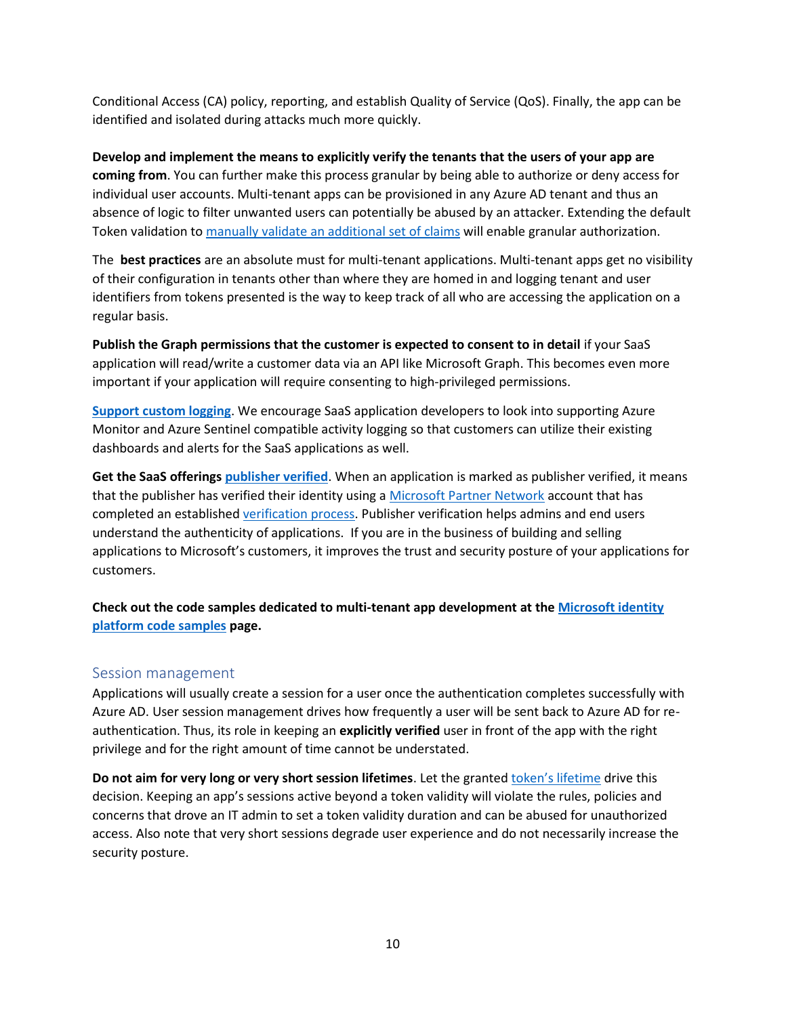Conditional Access (CA) policy, reporting, and establish Quality of Service (QoS). Finally, the app can be identified and isolated during attacks much more quickly.

**Develop and implement the means to explicitly verify the tenants that the users of your app are coming from**. You can further make this process granular by being able to authorize or deny access for individual user accounts. Multi-tenant apps can be provisioned in any Azure AD tenant and thus an absence of logic to filter unwanted users can potentially be abused by an attacker. Extending the default Token validation t[o manually validate an additional set of claims](https://github.com/Azure-Samples/active-directory-dotnet-webapi-manual-jwt-validation) will enable granular authorization.

The **best practices** are an absolute must for multi-tenant applications. Multi-tenant apps get no visibility of their configuration in tenants other than where they are homed in and logging tenant and user identifiers from tokens presented is the way to keep track of all who are accessing the application on a regular basis.

**Publish the Graph permissions that the customer is expected to consent to in detail** if your SaaS application will read/write a customer data via an API like Microsoft Graph. This becomes even more important if your application will require consenting to high-privileged permissions.

**[Support custom logging](https://docs.microsoft.com/en-us/azure/azure-monitor/agents/data-sources-custom-logs)**. We encourage SaaS application developers to look into supporting Azure Monitor and Azure Sentinel compatible activity logging so that customers can utilize their existing dashboards and alerts for the SaaS applications as well.

**Get the SaaS offerings [publisher verified](https://docs.microsoft.com/en-us/azure/active-directory/develop/publisher-verification-overview)**. When an application is marked as publisher verified, it means that the publisher has verified their identity using a [Microsoft Partner Network](https://partner.microsoft.com/membership) account that has completed an established [verification process.](https://docs.microsoft.com/en-us/partner-center/verification-responses) Publisher verification helps admins and end users understand the authenticity of applications. If you are in the business of building and selling applications to Microsoft's customers, it improves the trust and security posture of your applications for customers.

## **Check out the code samples dedicated to multi-tenant app development at th[e Microsoft identity](https://docs.microsoft.com/en-us/azure/active-directory/develop/sample-v2-code)  [platform code samples](https://docs.microsoft.com/en-us/azure/active-directory/develop/sample-v2-code) page.**

#### <span id="page-9-0"></span>Session management

Applications will usually create a session for a user once the authentication completes successfully with Azure AD. User session management drives how frequently a user will be sent back to Azure AD for reauthentication. Thus, its role in keeping an **explicitly verified** user in front of the app with the right privilege and for the right amount of time cannot be understated.

**Do not aim for very long or very short session lifetimes**. Let the granted token'[s lifetime](https://docs.microsoft.com/en-us/azure/active-directory/develop/id-tokens#id-token-lifetime) drive this decision. Keeping an app's sessions active beyond a token validity will violate the rules, policies and concerns that drove an IT admin to set a token validity duration and can be abused for unauthorized access. Also note that very short sessions degrade user experience and do not necessarily increase the security posture.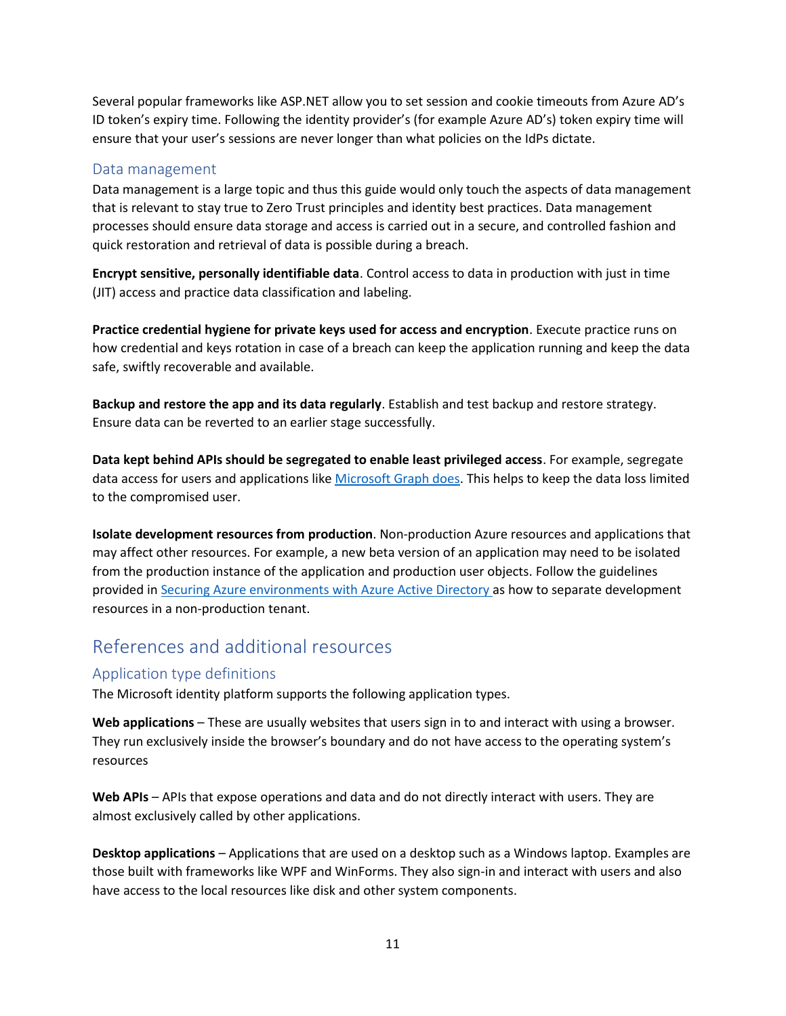Several popular frameworks like ASP.NET allow you to set session and cookie timeouts from Azure AD's ID token's expiry time. Following the identity provider's (for example Azure AD's) token expiry time will ensure that your user's sessions are never longer than what policies on the IdPs dictate.

#### <span id="page-10-0"></span>Data management

Data management is a large topic and thus this guide would only touch the aspects of data management that is relevant to stay true to Zero Trust principles and identity best practices. Data management processes should ensure data storage and access is carried out in a secure, and controlled fashion and quick restoration and retrieval of data is possible during a breach.

**Encrypt sensitive, personally identifiable data**. Control access to data in production with just in time (JIT) access and practice data classification and labeling.

**Practice credential hygiene for private keys used for access and encryption**. Execute practice runs on how credential and keys rotation in case of a breach can keep the application running and keep the data safe, swiftly recoverable and available.

**Backup and restore the app and its data regularly**. Establish and test backup and restore strategy. Ensure data can be reverted to an earlier stage successfully.

**Data kept behind APIs should be segregated to enable least privileged access**. For example, segregate data access for users and applications like [Microsoft Graph does.](https://docs.microsoft.com/en-us/graph/permissions-reference) This helps to keep the data loss limited to the compromised user.

**Isolate development resources from production**. Non-production Azure resources and applications that may affect other resources. For example, a new beta version of an application may need to be isolated from the production instance of the application and production user objects. Follow the guidelines provided in [Securing Azure environments with Azure Active Directory a](https://azure.microsoft.com/en-us/resources/securing-azure-environments-with-azure-active-directory/)s how to separate development resources in a non-production tenant.

# <span id="page-10-1"></span>References and additional resources

## <span id="page-10-2"></span>Application type definitions

The Microsoft identity platform supports the following application types.

**Web applications** – These are usually websites that users sign in to and interact with using a browser. They run exclusively inside the browser's boundary and do not have access to the operating system's resources

**Web APIs** – APIs that expose operations and data and do not directly interact with users. They are almost exclusively called by other applications.

**Desktop applications** – Applications that are used on a desktop such as a Windows laptop. Examples are those built with frameworks like WPF and WinForms. They also sign-in and interact with users and also have access to the local resources like disk and other system components.